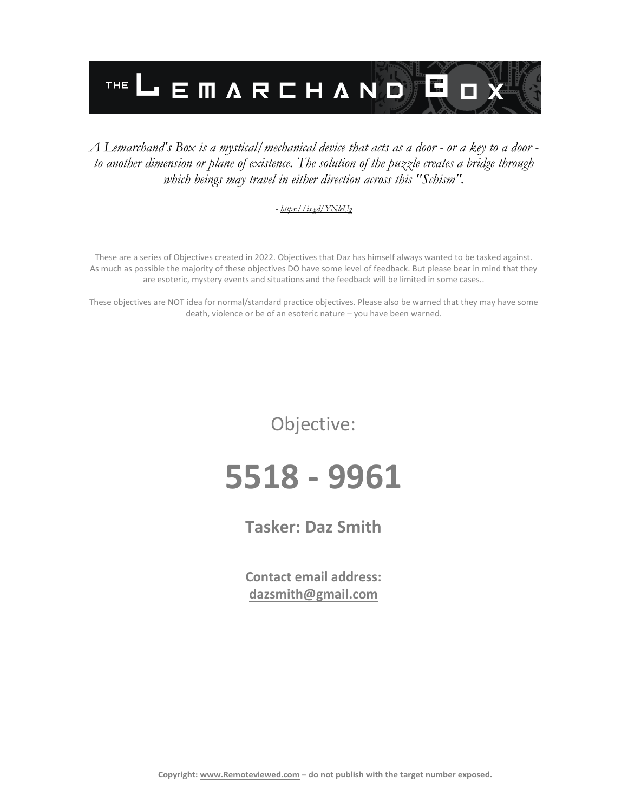

## *A Lemarchand's Box is a mystical/mechanical device that acts as a door - or a key to a door to another dimension or plane of existence. The solution of the puzzle creates a bridge through which beings may travel in either direction across this "Schism".*

## *- <https://is.gd/YNleUg>*

These are a series of Objectives created in 2022. Objectives that Daz has himself always wanted to be tasked against. As much as possible the majority of these objectives DO have some level of feedback. But please bear in mind that they are esoteric, mystery events and situations and the feedback will be limited in some cases..

These objectives are NOT idea for normal/standard practice objectives. Please also be warned that they may have some death, violence or be of an esoteric nature – you have been warned.

Objective:

## **5518 - 9961**

**Tasker: Daz Smith**

**Contact email address: [dazsmith@gmail.com](mailto:dazsmith@gmail.com)**